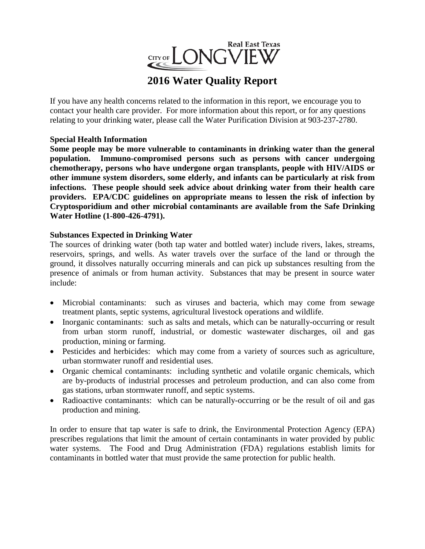

# **2016 Water Quality Report**

If you have any health concerns related to the information in this report, we encourage you to contact your health care provider. For more information about this report, or for any questions relating to your drinking water, please call the Water Purification Division at 903-237-2780.

## **Special Health Information**

**Some people may be more vulnerable to contaminants in drinking water than the general population. Immuno-compromised persons such as persons with cancer undergoing chemotherapy, persons who have undergone organ transplants, people with HIV/AIDS or other immune system disorders, some elderly, and infants can be particularly at risk from infections. These people should seek advice about drinking water from their health care providers. EPA/CDC guidelines on appropriate means to lessen the risk of infection by Cryptosporidium and other microbial contaminants are available from the Safe Drinking Water Hotline (1-800-426-4791).**

## **Substances Expected in Drinking Water**

The sources of drinking water (both tap water and bottled water) include rivers, lakes, streams, reservoirs, springs, and wells. As water travels over the surface of the land or through the ground, it dissolves naturally occurring minerals and can pick up substances resulting from the presence of animals or from human activity. Substances that may be present in source water include:

- Microbial contaminants: such as viruses and bacteria, which may come from sewage treatment plants, septic systems, agricultural livestock operations and wildlife.
- Inorganic contaminants: such as salts and metals, which can be naturally-occurring or result from urban storm runoff, industrial, or domestic wastewater discharges, oil and gas production, mining or farming.
- Pesticides and herbicides: which may come from a variety of sources such as agriculture, urban stormwater runoff and residential uses.
- Organic chemical contaminants: including synthetic and volatile organic chemicals, which are by-products of industrial processes and petroleum production, and can also come from gas stations, urban stormwater runoff, and septic systems.
- Radioactive contaminants: which can be naturally-occurring or be the result of oil and gas production and mining.

In order to ensure that tap water is safe to drink, the Environmental Protection Agency (EPA) prescribes regulations that limit the amount of certain contaminants in water provided by public water systems. The Food and Drug Administration (FDA) regulations establish limits for contaminants in bottled water that must provide the same protection for public health.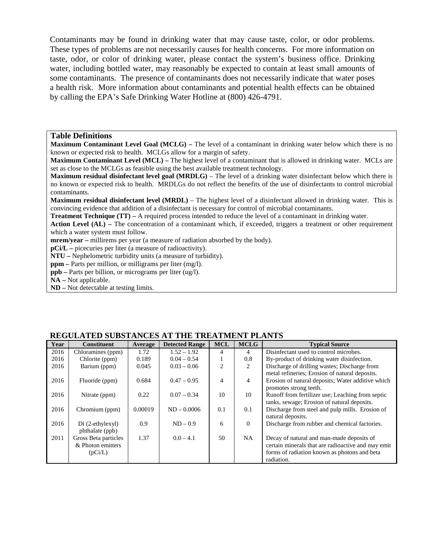Contaminants may be found in drinking water that may cause taste, color, or odor problems. These types of problems are not necessarily causes for health concerns. For more information on taste, odor, or color of drinking water, please contact the system's business office. Drinking water, including bottled water, may reasonably be expected to contain at least small amounts of some contaminants. The presence of contaminants does not necessarily indicate that water poses a health risk. More information about contaminants and potential health effects can be obtained by calling the EPA's Safe Drinking Water Hotline at (800) 426-4791.

#### **Table Definitions**

**Maximum Contaminant Level Goal (MCLG) –** The level of a contaminant in drinking water below which there is no known or expected risk to health. MCLGs allow for a margin of safety.

**Maximum Contaminant Level (MCL) –** The highest level of a contaminant that is allowed in drinking water. MCLs are set as close to the MCLGs as feasible using the best available treatment technology.

**Maximum residual disinfectant level goal (MRDLG)** – The level of a drinking water disinfectant below which there is no known or expected risk to health. MRDLGs do not reflect the benefits of the use of disinfectants to control microbial contaminants.

**Maximum residual disinfectant level (MRDL)** – The highest level of a disinfectant allowed in drinking water. This is convincing evidence that addition of a disinfectant is necessary for control of microbial contaminants.

**Treatment Technique (TT)** – A required process intended to reduce the level of a contaminant in drinking water.

**Action Level (AL) –** The concentration of a contaminant which, if exceeded, triggers a treatment or other requirement which a water system must follow.

**mrem/year –** millirems per year (a measure of radiation absorbed by the body).

**pCi/L –** picecuries per liter (a measure of radioactivity).

**NTU –** Nephelometric turbidity units (a measure of turbidity).

**ppm –** Parts per million, or milligrams per liter (mg/l).

**ppb –** Parts per billion, or micrograms per liter (ug/l).

**NA –** Not applicable.

**ND –** Not detectable at testing limits.

| Year | <b>Constituent</b>   | Average | <b>Detected Range</b> | <b>MCL</b>     | <b>MCLG</b>    | <b>Typical Source</b>                              |
|------|----------------------|---------|-----------------------|----------------|----------------|----------------------------------------------------|
| 2016 | Chloramines (ppm)    | 1.72    | $1.52 - 1.92$         | 4              | 4              | Disinfectant used to control microbes.             |
| 2016 | Chlorite (ppm)       | 0.189   | $0.04 - 0.54$         |                | 0.8            | By-product of drinking water disinfection.         |
| 2016 | Barium (ppm)         | 0.045   | $0.03 - 0.06$         | $\mathfrak{D}$ | 2              | Discharge of drilling wastes; Discharge from       |
|      |                      |         |                       |                |                | metal refineries; Erosion of natural deposits.     |
| 2016 | Fluoride (ppm)       | 0.684   | $0.47 - 0.95$         | 4              | $\overline{4}$ | Erosion of natural deposits: Water additive which  |
|      |                      |         |                       |                |                | promotes strong teeth.                             |
| 2016 | Nitrate (ppm)        | 0.22    | $0.07 - 0.34$         | 10             | 10             | Runoff from fertilizer use; Leaching from septic   |
|      |                      |         |                       |                |                | tanks, sewage; Erosion of natural deposits.        |
| 2016 | Chromium (ppm)       | 0.00019 | $ND - 0.0006$         | 0.1            | 0.1            | Discharge from steel and pulp mills. Erosion of    |
|      |                      |         |                       |                |                | natural deposits.                                  |
| 2016 | Di (2-ethylexyl)     | 0.9     | $ND - 0.9$            | 6              | $\overline{0}$ | Discharge from rubber and chemical factories.      |
|      | phthalate (ppb)      |         |                       |                |                |                                                    |
| 2011 | Gross Beta particles | 1.37    | $0.0 - 4.1$           | 50             | NA.            | Decay of natural and man-made deposits of          |
|      | & Photon emitters    |         |                       |                |                | certain minerals that are radioactive and may emit |
|      | (pCi/L)              |         |                       |                |                | forms of radiation known as photons and beta       |
|      |                      |         |                       |                |                | radiation.                                         |

#### **REGULATED SUBSTANCES AT THE TREATMENT PLANTS**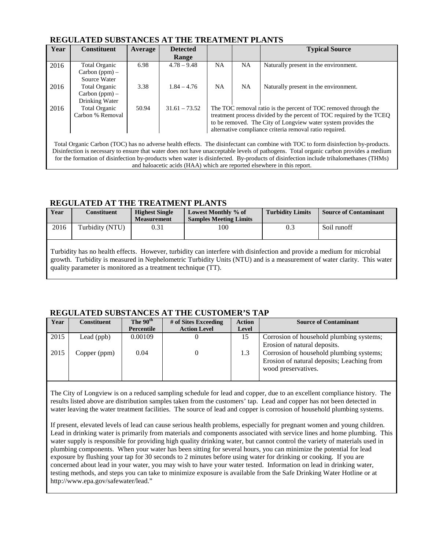### **REGULATED SUBSTANCES AT THE TREATMENT PLANTS**

| Year                                                                                                                              | <b>Constituent</b>   | Average | <b>Detected</b> |                                                               |           | <b>Typical Source</b>                                                                                                                 |  |  |
|-----------------------------------------------------------------------------------------------------------------------------------|----------------------|---------|-----------------|---------------------------------------------------------------|-----------|---------------------------------------------------------------------------------------------------------------------------------------|--|--|
|                                                                                                                                   |                      |         | Range           |                                                               |           |                                                                                                                                       |  |  |
| 2016                                                                                                                              | <b>Total Organic</b> | 6.98    | $4.78 - 9.48$   | <b>NA</b>                                                     | <b>NA</b> | Naturally present in the environment.                                                                                                 |  |  |
|                                                                                                                                   | $Carbon (ppm) -$     |         |                 |                                                               |           |                                                                                                                                       |  |  |
|                                                                                                                                   | Source Water         |         |                 |                                                               |           |                                                                                                                                       |  |  |
| 2016                                                                                                                              | <b>Total Organic</b> | 3.38    | $1.84 - 4.76$   | <b>NA</b>                                                     | <b>NA</b> | Naturally present in the environment.                                                                                                 |  |  |
|                                                                                                                                   | $Carbon (ppm) -$     |         |                 |                                                               |           |                                                                                                                                       |  |  |
|                                                                                                                                   | Drinking Water       |         |                 |                                                               |           |                                                                                                                                       |  |  |
| 2016                                                                                                                              | Total Organic        | 50.94   | $31.61 - 73.52$ |                                                               |           | The TOC removal ratio is the percent of TOC removed through the                                                                       |  |  |
|                                                                                                                                   | Carbon % Removal     |         |                 |                                                               |           | treatment process divided by the percent of TOC required by the TCEQ                                                                  |  |  |
|                                                                                                                                   |                      |         |                 | to be removed. The City of Longview water system provides the |           |                                                                                                                                       |  |  |
|                                                                                                                                   |                      |         |                 | alternative compliance criteria removal ratio required.       |           |                                                                                                                                       |  |  |
|                                                                                                                                   |                      |         |                 |                                                               |           |                                                                                                                                       |  |  |
| Total Organic Carbon (TOC) has no adverse health effects. The disinfectant can combine with TOC to form disinfection by-products. |                      |         |                 |                                                               |           |                                                                                                                                       |  |  |
|                                                                                                                                   |                      |         |                 |                                                               |           | Disinfection is necessary to ensure that water does not have unacceptable levels of pathogens. Total organic carbon provides a medium |  |  |

for the formation of disinfection by-products when water is disinfected. By-products of disinfection include trihalomethanes (THMs) and haloacetic acids (HAA) which are reported elsewhere in this report.

## **REGULATED AT THE TREATMENT PLANTS**

| Year                                                                                                                                                                                                                                             | <b>Constituent</b> | <b>Highest Single</b><br><b>Measurement</b> | Lowest Monthly % of<br><b>Samples Meeting Limits</b> | <b>Turbidity Limits</b> | <b>Source of Contaminant</b> |  |  |
|--------------------------------------------------------------------------------------------------------------------------------------------------------------------------------------------------------------------------------------------------|--------------------|---------------------------------------------|------------------------------------------------------|-------------------------|------------------------------|--|--|
| 2016                                                                                                                                                                                                                                             | Turbidity (NTU)    | 0.31                                        | 100                                                  | 0.3                     | Soil runoff                  |  |  |
| Turbidity has no health effects. However, turbidity can interfere with disinfection and provide a medium for microbial<br>growth. Turbidity is measured in Nephelometric Turbidity Units (NTU) and is a measurement of water clarity. This water |                    |                                             |                                                      |                         |                              |  |  |

growth. Turbidity is measured in Nephelometric Turbidity Units (NTU) and is a measurement of water clarity. This water quality parameter is monitored as a treatment technique (TT).

### **REGULATED SUBSTANCES AT THE CUSTOMER'S TAP**

| Year | <b>Constituent</b> | The 90 <sup>th</sup> | # of Sites Exceeding | <b>Action</b> | <b>Source of Contaminant</b>                                                                                  |
|------|--------------------|----------------------|----------------------|---------------|---------------------------------------------------------------------------------------------------------------|
|      |                    | Percentile           | <b>Action Level</b>  | Level         |                                                                                                               |
| 2015 | Lead (ppb)         | 0.00109              |                      | 15            | Corrosion of household plumbing systems;<br>Erosion of natural deposits.                                      |
| 2015 | Copper (ppm)       | 0.04                 |                      | 1.3           | Corrosion of household plumbing systems;<br>Erosion of natural deposits; Leaching from<br>wood preservatives. |

The City of Longview is on a reduced sampling schedule for lead and copper, due to an excellent compliance history. The results listed above are distribution samples taken from the customers' tap. Lead and copper has not been detected in water leaving the water treatment facilities. The source of lead and copper is corrosion of household plumbing systems.

If present, elevated levels of lead can cause serious health problems, especially for pregnant women and young children. Lead in drinking water is primarily from materials and components associated with service lines and home plumbing. This water supply is responsible for providing high quality drinking water, but cannot control the variety of materials used in plumbing components. When your water has been sitting for several hours, you can minimize the potential for lead exposure by flushing your tap for 30 seconds to 2 minutes before using water for drinking or cooking. If you are concerned about lead in your water, you may wish to have your water tested. Information on lead in drinking water, testing methods, and steps you can take to minimize exposure is available from the Safe Drinking Water Hotline or at http://www.epa.gov/safewater/lead."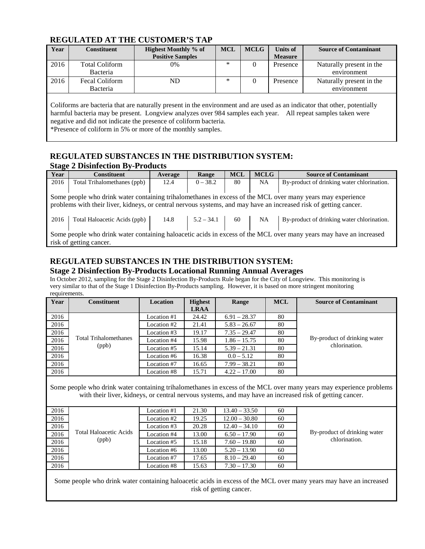### **REGULATED AT THE CUSTOMER'S TAP**

| Year | Constituent           | <b>Highest Monthly % of</b><br><b>Positive Samples</b> | <b>MCL</b> | <b>MCLG</b> | Units of<br><b>Measure</b> | <b>Source of Contaminant</b> |
|------|-----------------------|--------------------------------------------------------|------------|-------------|----------------------------|------------------------------|
|      |                       |                                                        | ∗          |             |                            |                              |
| 2016 | <b>Total Coliform</b> | 0%                                                     |            |             | Presence                   | Naturally present in the     |
|      | Bacteria              |                                                        |            |             |                            | environment                  |
| 2016 | <b>Fecal Coliform</b> | ND                                                     | ∗          | 0           | Presence                   | Naturally present in the     |
|      | Bacteria              |                                                        |            |             |                            | environment                  |
|      |                       |                                                        |            |             |                            |                              |

Coliforms are bacteria that are naturally present in the environment and are used as an indicator that other, potentially harmful bacteria may be present. Longview analyzes over 984 samples each year. All repeat samples taken were negative and did not indicate the presence of coliform bacteria.

\*Presence of coliform in 5% or more of the monthly samples.

#### **REGULATED SUBSTANCES IN THE DISTRIBUTION SYSTEM: Stage 2 Disinfection By-Products**

| $ -$<br>Year                                                                                                           | <b>Constituent</b>                                                                                                                                                                                                              | Average | Range      | <b>MCL</b> | <b>MCLG</b> | <b>Source of Contaminant</b>               |  |  |
|------------------------------------------------------------------------------------------------------------------------|---------------------------------------------------------------------------------------------------------------------------------------------------------------------------------------------------------------------------------|---------|------------|------------|-------------|--------------------------------------------|--|--|
| 2016                                                                                                                   | Total Trihalomethanes (ppb)                                                                                                                                                                                                     | 12.4    | $0 - 38.2$ | 80         | NA          | By-product of drinking water chlorination. |  |  |
|                                                                                                                        | Some people who drink water containing trihalomethanes in excess of the MCL over many years may experience<br>problems with their liver, kidneys, or central nervous systems, and may have an increased risk of getting cancer. |         |            |            |             |                                            |  |  |
| Total Haloacetic Acids (ppb)<br>By-product of drinking water chlorination.<br>2016<br>14.8<br>$5.2 - 34.1$<br>NA<br>60 |                                                                                                                                                                                                                                 |         |            |            |             |                                            |  |  |
| Some people who drink water containing haloacetic acids in excess of the MCL over many years may have an increased     |                                                                                                                                                                                                                                 |         |            |            |             |                                            |  |  |
| risk of getting cancer.                                                                                                |                                                                                                                                                                                                                                 |         |            |            |             |                                            |  |  |

## **REGULATED SUBSTANCES IN THE DISTRIBUTION SYSTEM: Stage 2 Disinfection By-Products Locational Running Annual Averages**

In October 2012, sampling for the Stage 2 Disinfection By-Products Rule began for the City of Longview. This monitoring is very similar to that of the Stage 1 Disinfection By-Products sampling. However, it is based on more stringent monitoring requirements.

| Year | <b>Constituent</b>           | Location    | <b>Highest</b> | Range          | <b>MCL</b> | <b>Source of Contaminant</b> |
|------|------------------------------|-------------|----------------|----------------|------------|------------------------------|
|      |                              |             | <b>LRAA</b>    |                |            |                              |
| 2016 |                              | Location #1 | 24.42          | $6.91 - 28.37$ | 80         |                              |
| 2016 |                              | Location #2 | 21.41          | $5.83 - 26.67$ | 80         |                              |
| 2016 |                              | Location #3 | 19.17          | $7.35 - 29.47$ | 80         |                              |
| 2016 | <b>Total Trihalomethanes</b> | Location #4 | 15.98          | $1.86 - 15.75$ | 80         | By-product of drinking water |
| 2016 | (ppb)                        | Location #5 | 15.14          | $5.39 - 21.31$ | 80         | chlorination.                |
| 2016 |                              | Location #6 | 16.38          | $0.0 - 5.12$   | 80         |                              |
| 2016 |                              | Location #7 | 16.65          | $7.99 - 38.21$ | 80         |                              |
| 2016 |                              | Location #8 | 15.71          | $4.22 - 17.00$ | 80         |                              |

Some people who drink water containing trihalomethanes in excess of the MCL over many years may experience problems with their liver, kidneys, or central nervous systems, and may have an increased risk of getting cancer.

| 2016 |                        | Location #1 | 21.30 | $13.40 - 33.50$ | 60 |                              |
|------|------------------------|-------------|-------|-----------------|----|------------------------------|
| 2016 |                        | Location #2 | 19.25 | $12.00 - 30.80$ | 60 |                              |
| 2016 |                        | Location #3 | 20.28 | $12.40 - 34.10$ | 60 |                              |
| 2016 | Total Haloacetic Acids | Location #4 | 13.00 | $6.50 - 17.90$  | 60 | By-product of drinking water |
| 2016 | (ppb)                  | Location #5 | 15.18 | $7.60 - 19.80$  | 60 | chlorination.                |
| 2016 |                        | Location #6 | 13.00 | $5.20 - 13.90$  | 60 |                              |
| 2016 |                        | Location #7 | 17.65 | $8.10 - 29.40$  | 60 |                              |
| 2016 |                        | Location #8 | 15.63 | $7.30 - 17.30$  | 60 |                              |

Some people who drink water containing haloacetic acids in excess of the MCL over many years may have an increased risk of getting cancer.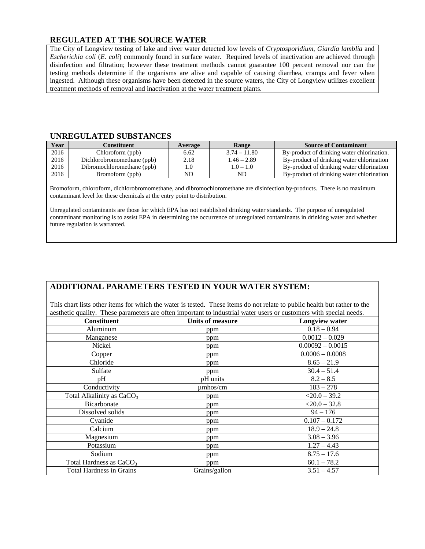## **REGULATED AT THE SOURCE WATER**

The City of Longview testing of lake and river water detected low levels of *Cryptosporidium*, *Giardia lamblia* and *Escherichia coli* (*E. coli*) commonly found in surface water. Required levels of inactivation are achieved through disinfection and filtration; however these treatment methods cannot guarantee 100 percent removal nor can the testing methods determine if the organisms are alive and capable of causing diarrhea, cramps and fever when ingested. Although these organisms have been detected in the source waters, the City of Longview utilizes excellent treatment methods of removal and inactivation at the water treatment plants.

#### **UNREGULATED SUBSTANCES**

| Year | Constituent                | Average | Range          | <b>Source of Contaminant</b>               |
|------|----------------------------|---------|----------------|--------------------------------------------|
| 2016 | Chloroform (ppb)           | 6.62    | $3.74 - 11.80$ | By-product of drinking water chlorination. |
| 2016 | Dichlorobromomethane (ppb) | 2.18    | $1.46 - 2.89$  | By-product of drinking water chlorination  |
| 2016 | Dibromochloromethane (ppb) | 1.0     | $1.0 - 1.0$    | By-product of drinking water chlorination  |
| 2016 | Bromoform (ppb)            | ND      | ND             | By-product of drinking water chlorination  |

Bromoform, chloroform, dichlorobromomethane, and dibromochloromethane are disinfection by-products. There is no maximum contaminant level for these chemicals at the entry point to distribution.

Unregulated contaminants are those for which EPA has not established drinking water standards. The purpose of unregulated contaminant monitoring is to assist EPA in determining the occurrence of unregulated contaminants in drinking water and whether future regulation is warranted.

## **ADDITIONAL PARAMETERS TESTED IN YOUR WATER SYSTEM:**

This chart lists other items for which the water is tested. These items do not relate to public health but rather to the aesthetic quality. These parameters are often important to industrial water users or customers with special needs.

| <b>Constituent</b>                    | <b>Units of measure</b> | <b>Longview water</b> |
|---------------------------------------|-------------------------|-----------------------|
| Aluminum                              | ppm                     | $0.18 - 0.94$         |
| Manganese                             | ppm                     | $0.0012 - 0.029$      |
| Nickel                                | ppm                     | $0.00092 - 0.0015$    |
| Copper                                | ppm                     | $0.0006 - 0.0008$     |
| Chloride                              | ppm                     | $8.65 - 21.9$         |
| Sulfate                               | ppm                     | $30.4 - 51.4$         |
| pH                                    | pH units                | $8.2 - 8.5$           |
| Conductivity                          | $\mu$ mhos/cm           | $183 - 278$           |
| Total Alkalinity as CaCO <sub>3</sub> | ppm                     | $<$ 20.0 - 39.2       |
| Bicarbonate                           | ppm                     | $< 20.0 - 32.8$       |
| Dissolved solids                      | ppm                     | $94 - 176$            |
| Cyanide                               | ppm                     | $0.107 - 0.172$       |
| Calcium                               | ppm                     | $18.9 - 24.8$         |
| Magnesium                             | ppm                     | $3.08 - 3.96$         |
| Potassium                             | ppm                     | $1.27 - 4.43$         |
| Sodium                                | ppm                     | $8.75 - 17.6$         |
| Total Hardness as CaCO <sub>3</sub>   | ppm                     | $60.1 - 78.2$         |
| <b>Total Hardness in Grains</b>       | Grains/gallon           | $3.51 - 4.57$         |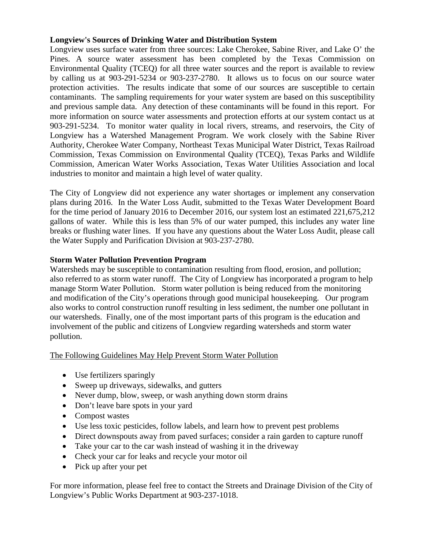## **Longview's Sources of Drinking Water and Distribution System**

Longview uses surface water from three sources: Lake Cherokee, Sabine River, and Lake O' the Pines. A source water assessment has been completed by the Texas Commission on Environmental Quality (TCEQ) for all three water sources and the report is available to review by calling us at 903-291-5234 or 903-237-2780. It allows us to focus on our source water protection activities. The results indicate that some of our sources are susceptible to certain contaminants. The sampling requirements for your water system are based on this susceptibility and previous sample data. Any detection of these contaminants will be found in this report. For more information on source water assessments and protection efforts at our system contact us at 903-291-5234. To monitor water quality in local rivers, streams, and reservoirs, the City of Longview has a Watershed Management Program. We work closely with the Sabine River Authority, Cherokee Water Company, Northeast Texas Municipal Water District, Texas Railroad Commission, Texas Commission on Environmental Quality (TCEQ), Texas Parks and Wildlife Commission, American Water Works Association, Texas Water Utilities Association and local industries to monitor and maintain a high level of water quality.

The City of Longview did not experience any water shortages or implement any conservation plans during 2016. In the Water Loss Audit, submitted to the Texas Water Development Board for the time period of January 2016 to December 2016, our system lost an estimated 221,675,212 gallons of water. While this is less than 5% of our water pumped, this includes any water line breaks or flushing water lines. If you have any questions about the Water Loss Audit, please call the Water Supply and Purification Division at 903-237-2780.

## **Storm Water Pollution Prevention Program**

Watersheds may be susceptible to contamination resulting from flood, erosion, and pollution; also referred to as storm water runoff. The City of Longview has incorporated a program to help manage Storm Water Pollution. Storm water pollution is being reduced from the monitoring and modification of the City's operations through good municipal housekeeping. Our program also works to control construction runoff resulting in less sediment, the number one pollutant in our watersheds. Finally, one of the most important parts of this program is the education and involvement of the public and citizens of Longview regarding watersheds and storm water pollution.

The Following Guidelines May Help Prevent Storm Water Pollution

- Use fertilizers sparingly
- Sweep up driveways, sidewalks, and gutters
- Never dump, blow, sweep, or wash anything down storm drains
- Don't leave bare spots in your yard
- Compost wastes
- Use less toxic pesticides, follow labels, and learn how to prevent pest problems
- Direct downspouts away from paved surfaces; consider a rain garden to capture runoff
- Take your car to the car wash instead of washing it in the driveway
- Check your car for leaks and recycle your motor oil
- Pick up after your pet

For more information, please feel free to contact the Streets and Drainage Division of the City of Longview's Public Works Department at 903-237-1018.